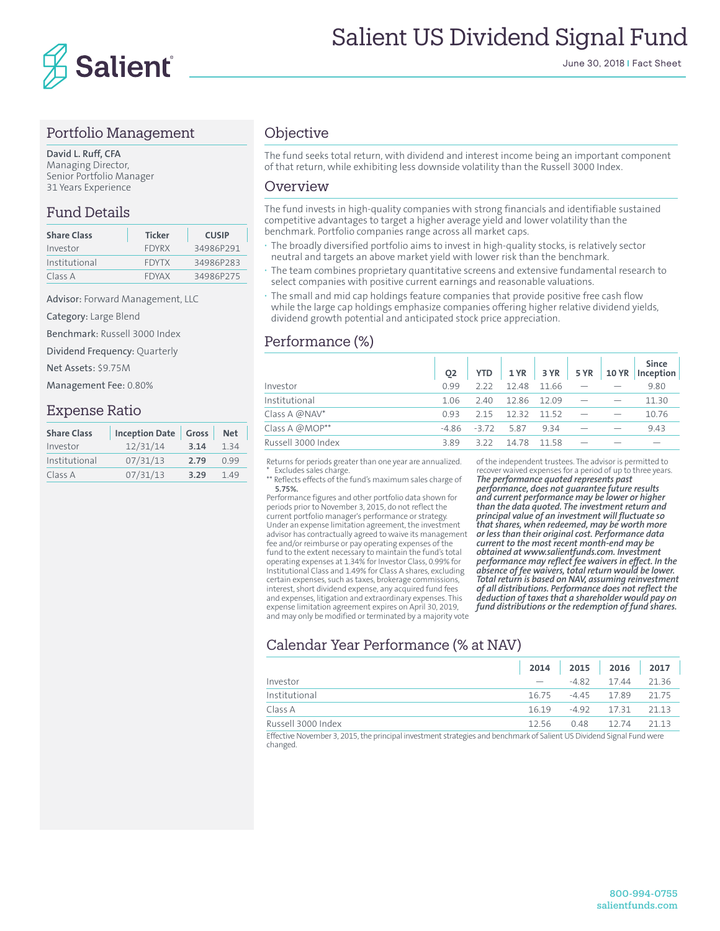

#### Portfolio Management

**David L. Ruff, CFA** Managing Director, Senior Portfolio Manager 31 Years Experience

## Fund Details

| <b>Share Class</b> | <b>Ticker</b> | <b>CUSIP</b> |
|--------------------|---------------|--------------|
| Investor           | <b>FDYRX</b>  | 34986P291    |
| Institutional      | <b>FDYTX</b>  | 34986P283    |
| Class A            | <b>FDYAX</b>  | 34986P275    |

Advisor: Forward Management, LLC

Category: Large Blend

Benchmark: Russell 3000 Index

Dividend Frequency: Quarterly

Net Assets: \$9.75M

Management Fee: 0.80%

#### Expense Ratio

| <b>Share Class</b> | <b>Inception Date</b> | Gross | Net   |  |
|--------------------|-----------------------|-------|-------|--|
| Investor           | 12/31/14              | 3.14  | 134   |  |
| Institutional      | 07/31/13              | 2.79  | 0 9 9 |  |
| Class A            | 07/31/13              | 3.29  | 149   |  |

## **Objective**

The fund seeks total return, with dividend and interest income being an important component of that return, while exhibiting less downside volatility than the Russell 3000 Index.

#### Overview

The fund invests in high-quality companies with strong financials and identifiable sustained competitive advantages to target a higher average yield and lower volatility than the benchmark. Portfolio companies range across all market caps.

- **·** The broadly diversified portfolio aims to invest in high-quality stocks, is relatively sector neutral and targets an above market yield with lower risk than the benchmark.
- **·** The team combines proprietary quantitative screens and extensive fundamental research to select companies with positive current earnings and reasonable valuations.
- **·** The small and mid cap holdings feature companies that provide positive free cash flow while the large cap holdings emphasize companies offering higher relative dividend yields, dividend growth potential and anticipated stock price appreciation.

## Performance (%)

|                    | 02    | YTD          |             | $1 YR$ 3 YR | <b>5 YR</b> | <b>10 YR</b> | <b>Since</b><br>Inception |
|--------------------|-------|--------------|-------------|-------------|-------------|--------------|---------------------------|
| Investor           | 0.99  | 222          | 1248        | 11.66       |             |              | 9.80                      |
| Institutional      | 1.06  | -2.40        | 12.86 12.09 |             |             |              | 11.30                     |
| Class A @NAV*      | 0.93  | 215          | 12.32       | 1152        |             |              | 10.76                     |
| Class A @MOP**     | -4 86 | $-3.72$ 5.87 |             | 934         |             |              | 9.43                      |
| Russell 3000 Index | 389   | 322          | 14.78       | 1158        |             |              |                           |

Returns for periods greater than one year are annualized. \* Excludes sales charge. \*\* Reflects effects of the fund's maximum sales charge of

**5.75%.**

Performance figures and other portfolio data shown for periods prior to November 3, 2015, do not reflect the current portfolio manager's performance or strategy. Under an expense limitation agreement, the investment advisor has contractually agreed to waive its management fee and/or reimburse or pay operating expenses of the fund to the extent necessary to maintain the fund's total operating expenses at 1.34% for Investor Class, 0.99% for Institutional Class and 1.49% for Class A shares, excluding certain expenses, such as taxes, brokerage commissions, interest, short dividend expense, any acquired fund fees and expenses, litigation and extraordinary expenses. This expense limitation agreement expires on April 30, 2019, and may only be modified or terminated by a majority vote

of the independent trustees. The advisor is permitted to recover waived expenses for a period of up to three years. *The performance quoted represents past* 

*performance, does not guarantee future results and current performance may be lower or higher than the data quoted. The investment return and principal value of an investment will fluctuate so that shares, when redeemed, may be worth more or less than their original cost. Performance data current to the most recent month-end may be obtained at www.salientfunds.com. Investment performance may reflect fee waivers in effect. In the absence of fee waivers, total return would be lower. Total return is based on NAV, assuming reinvestment of all distributions. Performance does not reflect the deduction of taxes that a shareholder would pay on fund distributions or the redemption of fund shares.*

# Calendar Year Performance (% at NAV)

|                    |                          | 2014 2015 2016 2017 |       |
|--------------------|--------------------------|---------------------|-------|
| Investor           | $\overline{\phantom{a}}$ | $-4.82$ 17.44 21.36 |       |
| Institutional      | 16.75                    | -4.45 17.89 21.75   |       |
| Class A            | 1619                     | -4.92 17.31         | 21 13 |
| Russell 3000 Index | 12.56                    | 048 1274            | 21 13 |

Effective November 3, 2015, the principal investment strategies and benchmark of Salient US Dividend Signal Fund were changed.